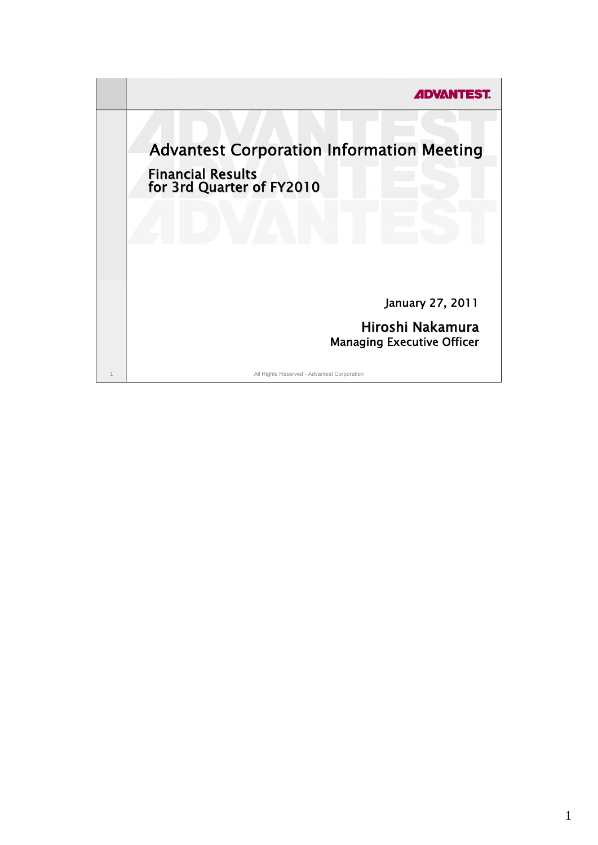**ADVANTEST.** Advantest Corporation Information Meeting Financial Results for 3rd Quarter of FY2010 January 27, 2011 Hiroshi Nakamura Managing Executive Officer1 All Rights Reserved - Advantest Corporation

1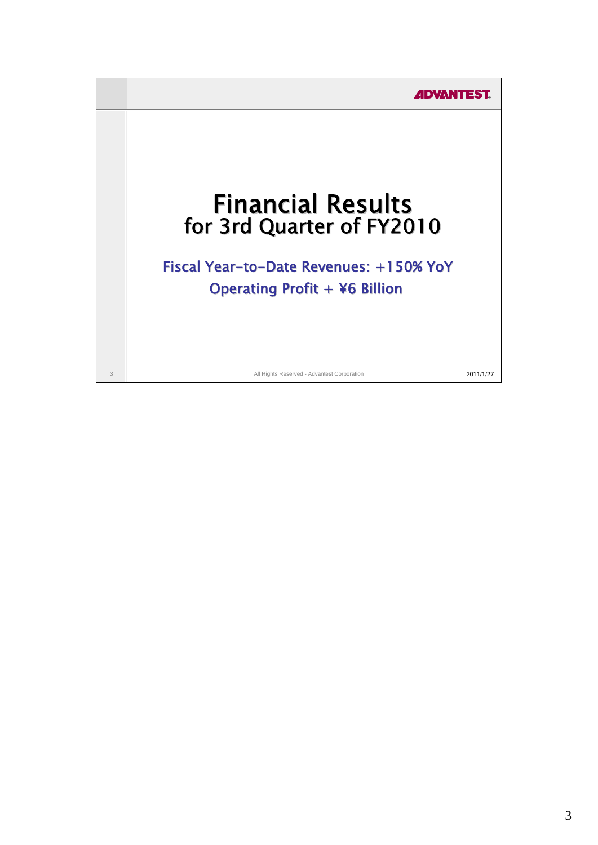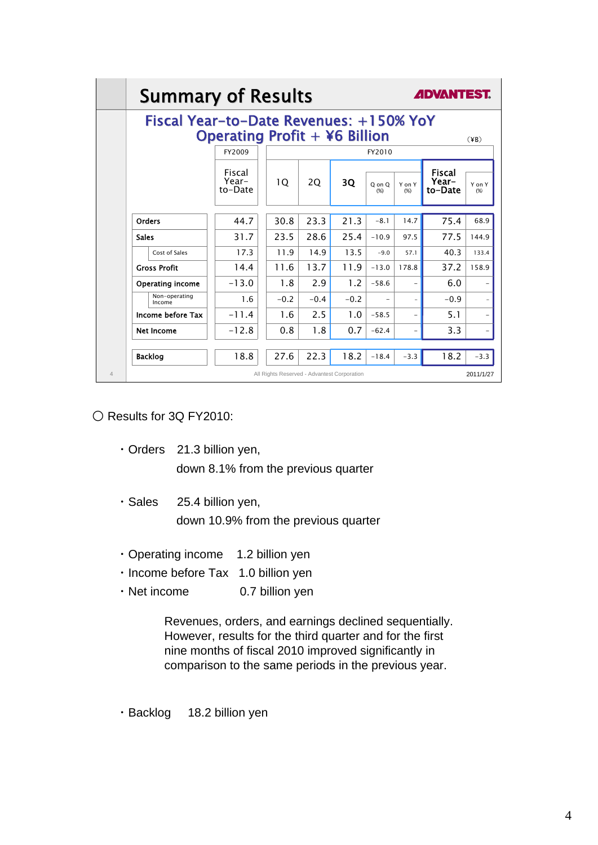| Fiscal Year-to-Date Revenues: +150% YoY |                            |                                             |                                      |        |               |               |                                   |                |  |
|-----------------------------------------|----------------------------|---------------------------------------------|--------------------------------------|--------|---------------|---------------|-----------------------------------|----------------|--|
|                                         |                            |                                             | <b>Operating Profit + ¥6 Billion</b> |        |               |               |                                   | (YB)           |  |
|                                         | FY2009                     |                                             |                                      |        |               | FY2010        |                                   |                |  |
|                                         | Fiscal<br>Year-<br>to-Date | 10                                          | 20                                   | 3Q     | O on O<br>(%) | Y on Y<br>(%) | <b>Fiscal</b><br>Year-<br>to-Date | Y on Y<br>(% ) |  |
| Orders                                  | 44.7                       | 30.8                                        | 23.3                                 | 21.3   | $-8.1$        | 14.7          | 75.4                              | 68.9           |  |
| <b>Sales</b>                            | 31.7                       | 23.5                                        | 28.6                                 | 25.4   | $-10.9$       | 97.5          | 77.5                              | 144.9          |  |
| Cost of Sales                           | 17.3                       | 11.9                                        | 14.9                                 | 13.5   | $-9.0$        | 57.1          | 40.3                              | 133.4          |  |
| <b>Gross Profit</b>                     | 14.4                       | 11.6                                        | 13.7                                 | 11.9   | $-13.0$       | 178.8         | 37.2                              | 158.9          |  |
| <b>Operating income</b>                 | $-13.0$                    | 1.8                                         | 2.9                                  | 1.2    | $-58.6$       |               | 6.0                               |                |  |
| Non-operating<br>Income                 | 1.6                        | $-0.2$                                      | $-0.4$                               | $-0.2$ |               |               | $-0.9$                            |                |  |
| Income before Tax                       | $-11.4$                    | 1.6                                         | 2.5                                  | 1.0    | $-58.5$       | $\equiv$      | 5.1                               |                |  |
| Net Income                              | $-12.8$                    | 0.8                                         | 1.8                                  | 0.7    | $-62.4$       | -             | 3.3                               |                |  |
| <b>Backlog</b>                          | 18.8                       | 27.6                                        | 22.3                                 | 18.2   | $-18.4$       | $-3.3$        | 18.2                              | $-3.3$         |  |
|                                         |                            | All Rights Reserved - Advantest Corporation |                                      |        |               |               |                                   | 2011/1/27      |  |

○ Results for 3Q FY2010:

- ・Orders 21.3 billion yen, down 8.1% from the previous quarter
- ・Sales 25.4 billion yen, down 10.9% from the previous quarter
- ・Operating income 1.2 billion yen
- ・Income before Tax 1.0 billion yen
- Net income 0.7 billion yen

Revenues, orders, and earnings declined sequentially. However, results for the third quarter and for the first nine months of fiscal 2010 improved significantly in comparison to the same periods in the previous year.

・Backlog 18.2 billion yen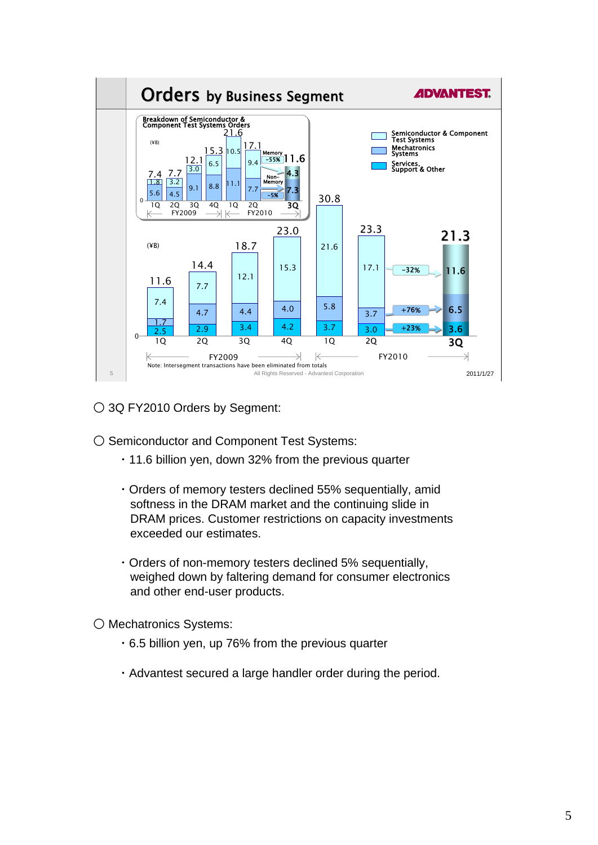

○ 3Q FY2010 Orders by Segment:

O Semiconductor and Component Test Systems:

- ・11.6 billion yen, down 32% from the previous quarter
- ・Orders of memory testers declined 55% sequentially, amid softness in the DRAM market and the continuing slide in DRAM prices. Customer restrictions on capacity investments exceeded our estimates.
- ・Orders of non-memory testers declined 5% sequentially, weighed down by faltering demand for consumer electronics and other end-user products.

○ Mechatronics Systems:

- ・6.5 billion yen, up 76% from the previous quarter
- ・Advantest secured a large handler order during the period.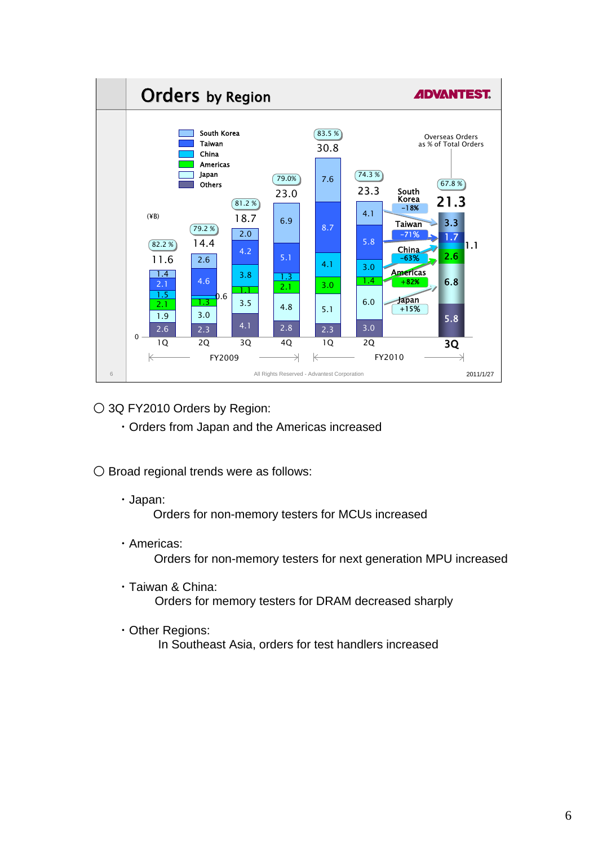

○ 3Q FY2010 Orders by Region:

- ・Orders from Japan and the Americas increased
- Broad regional trends were as follows:
	- ・Japan:

Orders for non-memory testers for MCUs increased

・Americas:

Orders for non-memory testers for next generation MPU increased

- ・Taiwan & China: Orders for memory testers for DRAM decreased sharply
- ・Other Regions:

In Southeast Asia, orders for test handlers increased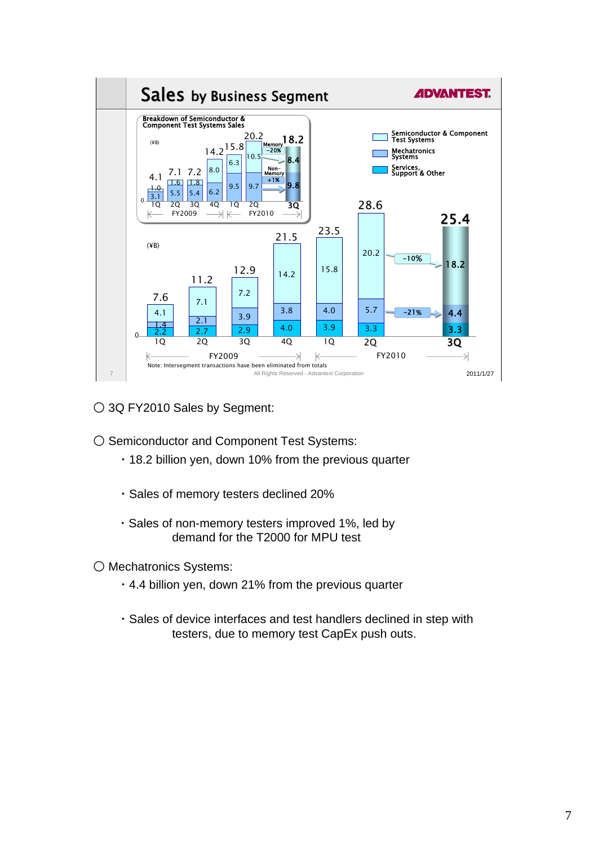

○ 3Q FY2010 Sales by Segment:

O Semiconductor and Component Test Systems:

- ・18.2 billion yen, down 10% from the previous quarter
- ・Sales of memory testers declined 20%
- ・Sales of non-memory testers improved 1%, led by demand for the T2000 for MPU test

○ Mechatronics Systems:

- ・4.4 billion yen, down 21% from the previous quarter
- ・Sales of device interfaces and test handlers declined in step with testers, due to memory test CapEx push outs.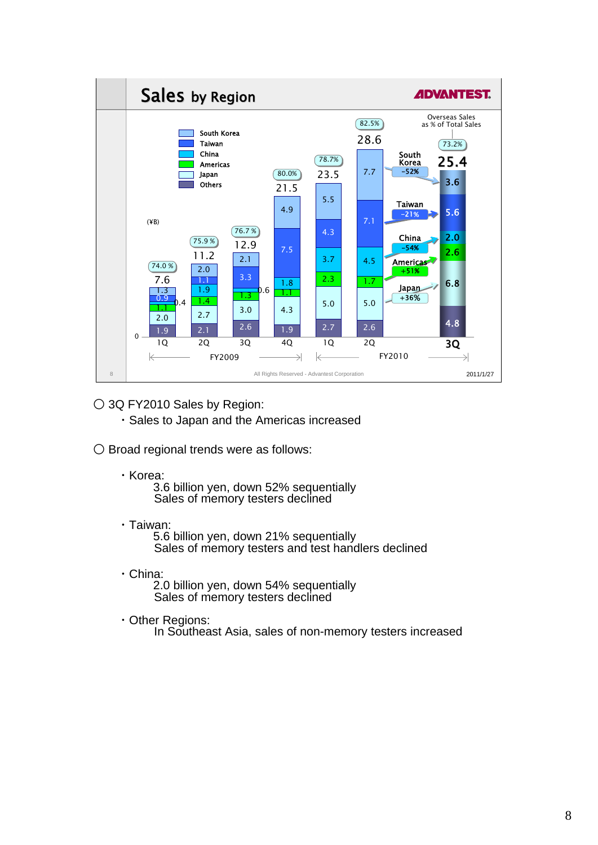

○ 3Q FY2010 Sales by Region:

・Sales to Japan and the Americas increased

○ Broad regional trends were as follows:

・Korea:

3.6 billion yen, down 52% sequentially Sales of memory testers declined

・Taiwan:

5.6 billion yen, down 21% sequentially Sales of memory testers and test handlers declined

・China:

2.0 billion yen, down 54% sequentially Sales of memory testers declined

・Other Regions:

In Southeast Asia, sales of non-memory testers increased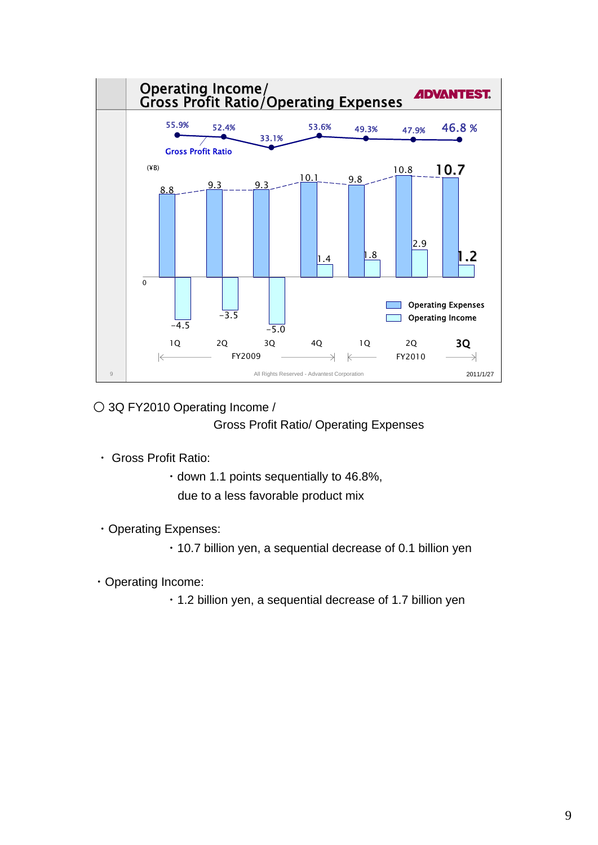

○ 3Q FY2010 Operating Income /

Gross Profit Ratio/ Operating Expenses

- ・ Gross Profit Ratio:
	- ・down 1.1 points sequentially to 46.8%,

due to a less favorable product mix

・Operating Expenses:

・10.7 billion yen, a sequential decrease of 0.1 billion yen

- ・Operating Income:
	- ・1.2 billion yen, a sequential decrease of 1.7 billion yen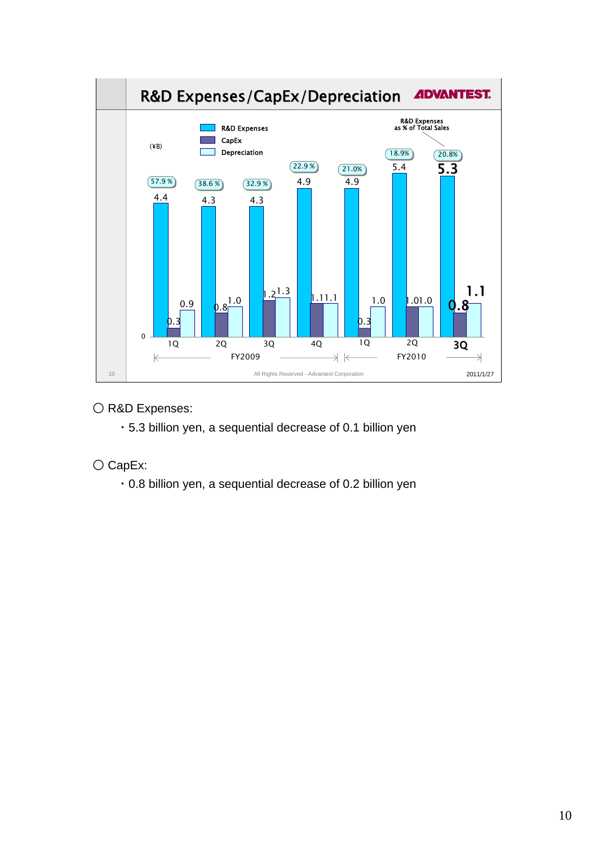

## O R&D Expenses:

・5.3 billion yen, a sequential decrease of 0.1 billion yen

# ○ CapEx:

・0.8 billion yen, a sequential decrease of 0.2 billion yen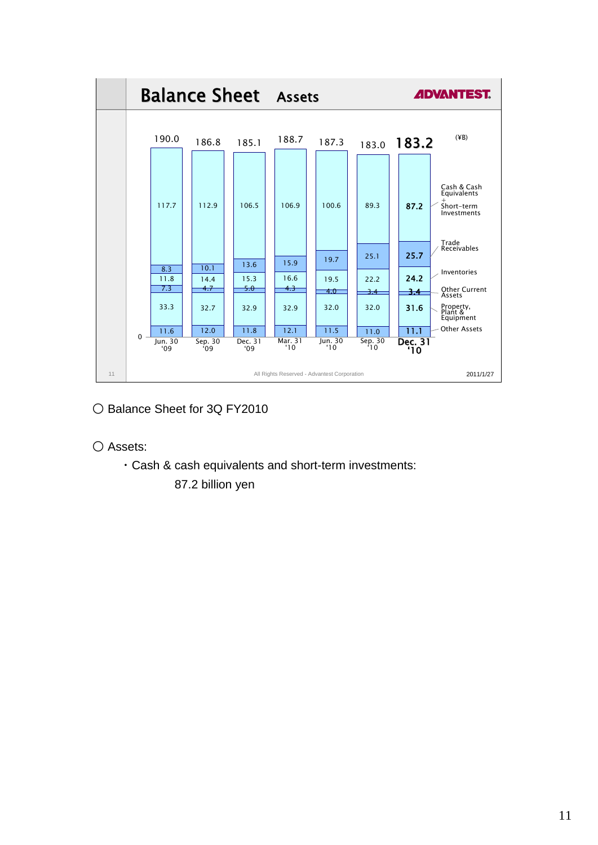

- Balance Sheet for 3Q FY2010
- Assets:
	- ・Cash & cash equivalents and short-term investments:

87.2 billion yen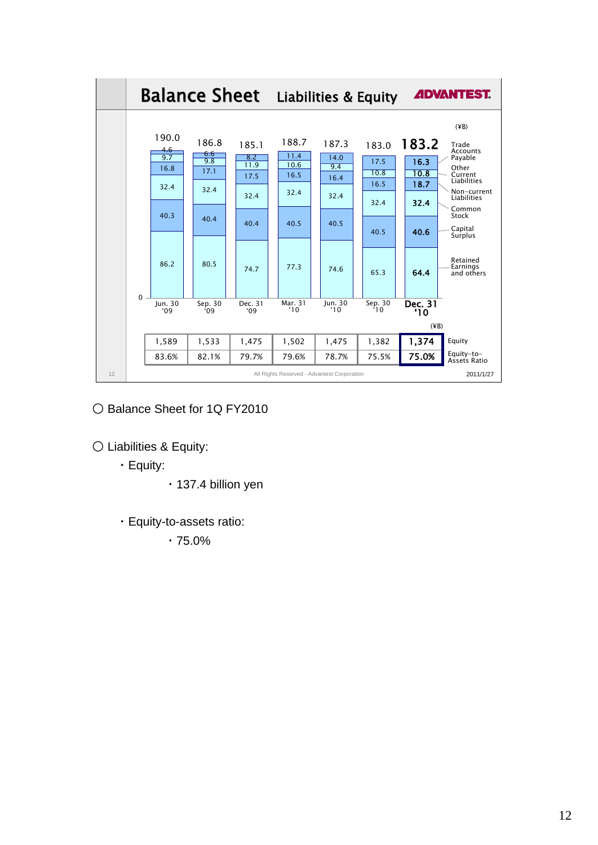

○ Balance Sheet for 1Q FY2010

○ Liabilities & Equity:

・Equity:

- ・137.4 billion yen
- ・Equity-to-assets ratio:

・75.0%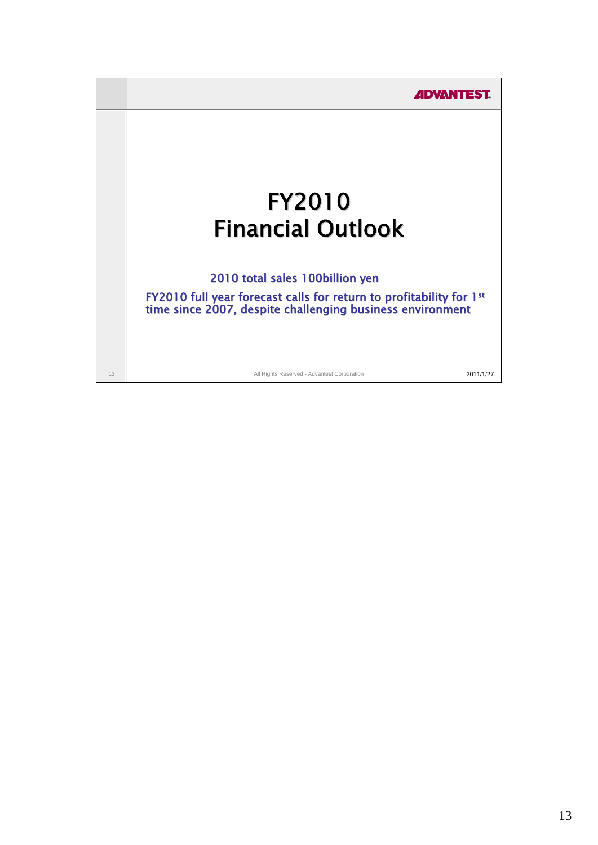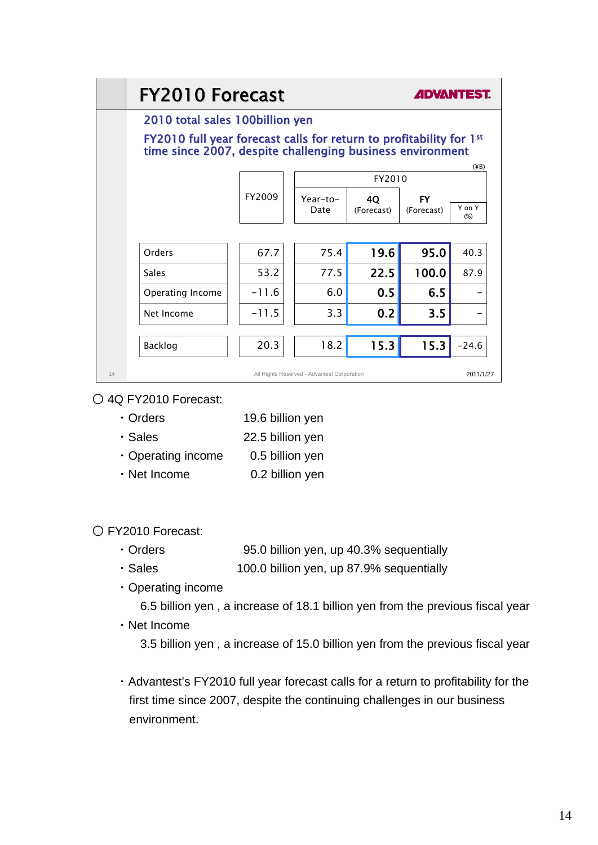|    | <b>FY2010 Forecast</b>                                                                                                                       |         |                                             |                  | <b><i>ADVANTEST.</i></b> |               |  |
|----|----------------------------------------------------------------------------------------------------------------------------------------------|---------|---------------------------------------------|------------------|--------------------------|---------------|--|
|    | 2010 total sales 100billion yen                                                                                                              |         |                                             |                  |                          |               |  |
|    | FY2010 full year forecast calls for return to profitability for 1 <sup>st</sup><br>time since 2007, despite challenging business environment |         |                                             |                  |                          |               |  |
|    |                                                                                                                                              |         |                                             | FY2010           | $(\angle$ B)             |               |  |
|    |                                                                                                                                              | FY2009  | Year-to-<br>Date                            | 40<br>(Forecast) | <b>FY</b><br>(Forecast)  | Y on Y<br>(%) |  |
|    |                                                                                                                                              |         |                                             |                  |                          |               |  |
|    | Orders                                                                                                                                       | 67.7    | 75.4                                        | 19.6             | 95.0                     | 40.3          |  |
|    | Sales                                                                                                                                        | 53.2    | 77.5                                        | 22.5             | 100.0                    | 87.9          |  |
|    | Operating Income                                                                                                                             | $-11.6$ | 6.0                                         | 0.5              | 6.5                      |               |  |
|    | Net Income                                                                                                                                   | $-11.5$ | 3.3                                         | 0.2              | 3.5                      |               |  |
|    | Backlog                                                                                                                                      | 20.3    | 18.2                                        | 15.3             | 15.3                     | $-24.6$       |  |
| 14 |                                                                                                                                              |         | All Rights Reserved - Advantest Corporation |                  |                          | 2011/1/27     |  |

## ○ 4Q FY2010 Forecast:

- ・Orders 19.6 billion yen
- ・Sales 22.5 billion yen
- ・Operating income 0.5 billion yen
- Net Income 0.2 billion yen

## ○ FY2010 Forecast:

- ・Orders 95.0 billion yen, up 40.3% sequentially
- ・Sales 100.0 billion yen, up 87.9% sequentially
- ・Operating income
	- 6.5 billion yen , a increase of 18.1 billion yen from the previous fiscal year
- ・Net Income
	- 3.5 billion yen , a increase of 15.0 billion yen from the previous fiscal year
- ・Advantest's FY2010 full year forecast calls for a return to profitability for the first time since 2007, despite the continuing challenges in our business environment.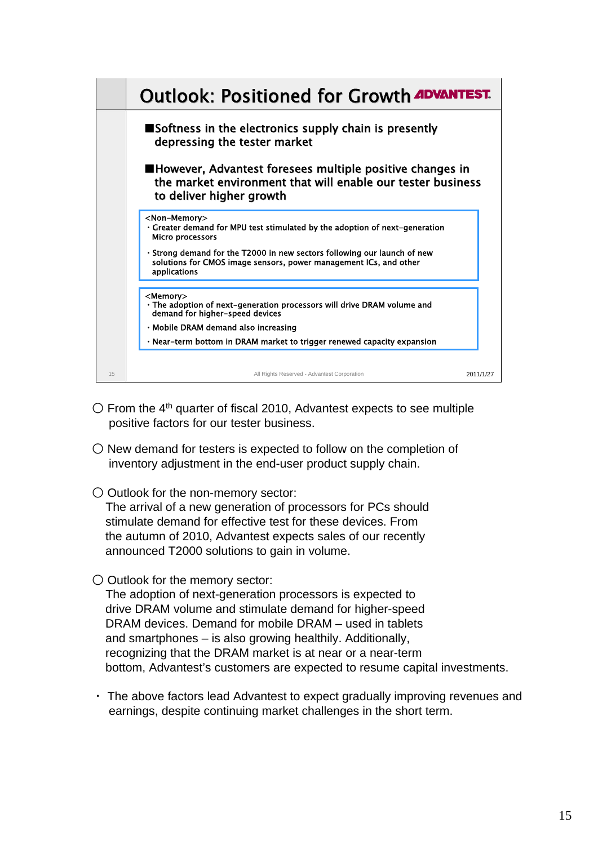|    | <b>Outlook: Positioned for Growth ADVANTEST.</b>                                                                                                                                                                   |           |
|----|--------------------------------------------------------------------------------------------------------------------------------------------------------------------------------------------------------------------|-----------|
|    | $\blacksquare$ Softness in the electronics supply chain is presently<br>depressing the tester market                                                                                                               |           |
|    | ■However, Advantest foresees multiple positive changes in<br>the market environment that will enable our tester business<br>to deliver higher growth                                                               |           |
|    | <non-memory><br/>• Greater demand for MPU test stimulated by the adoption of next-generation<br/><b>Micro processors</b><br/>. Strong demand for the T2000 in new sectors following our launch of new</non-memory> |           |
|    | solutions for CMOS image sensors, power management ICs, and other<br>applications                                                                                                                                  |           |
|    | <memory><br/>• The adoption of next-generation processors will drive DRAM volume and<br/>demand for higher-speed devices</memory>                                                                                  |           |
|    | · Mobile DRAM demand also increasing                                                                                                                                                                               |           |
|    | • Near-term bottom in DRAM market to trigger renewed capacity expansion                                                                                                                                            |           |
|    |                                                                                                                                                                                                                    |           |
| 15 | All Rights Reserved - Advantest Corporation                                                                                                                                                                        | 2011/1/27 |

- $\circ$  From the 4<sup>th</sup> quarter of fiscal 2010, Advantest expects to see multiple positive factors for our tester business.
- $\bigcirc$  New demand for testers is expected to follow on the completion of inventory adjustment in the end-user product supply chain.
- Outlook for the non-memory sector:

The arrival of a new generation of processors for PCs should stimulate demand for effective test for these devices. From the autumn of 2010, Advantest expects sales of our recently announced T2000 solutions to gain in volume.

○ Outlook for the memory sector:

The adoption of next-generation processors is expected to drive DRAM volume and stimulate demand for higher-speed DRAM devices. Demand for mobile DRAM – used in tablets and smartphones – is also growing healthily. Additionally, recognizing that the DRAM market is at near or a near-term bottom, Advantest's customers are expected to resume capital investments.

・ The above factors lead Advantest to expect gradually improving revenues and earnings, despite continuing market challenges in the short term.